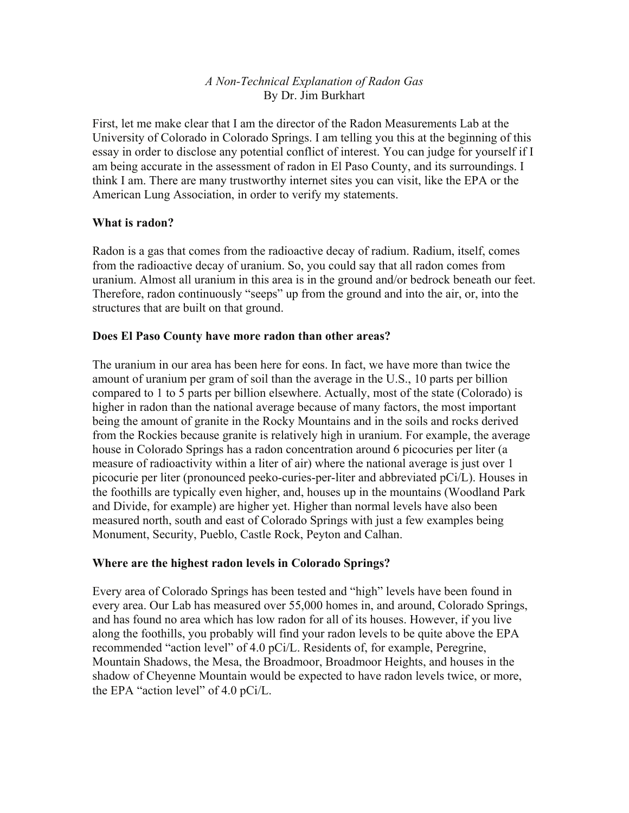## *A Non-Technical Explanation of Radon Gas* By Dr. Jim Burkhart

First, let me make clear that I am the director of the Radon Measurements Lab at the University of Colorado in Colorado Springs. I am telling you this at the beginning of this essay in order to disclose any potential conflict of interest. You can judge for yourself if I am being accurate in the assessment of radon in El Paso County, and its surroundings. I think I am. There are many trustworthy internet sites you can visit, like the EPA or the American Lung Association, in order to verify my statements.

### **What is radon?**

Radon is a gas that comes from the radioactive decay of radium. Radium, itself, comes from the radioactive decay of uranium. So, you could say that all radon comes from uranium. Almost all uranium in this area is in the ground and/or bedrock beneath our feet. Therefore, radon continuously "seeps" up from the ground and into the air, or, into the structures that are built on that ground.

### **Does El Paso County have more radon than other areas?**

The uranium in our area has been here for eons. In fact, we have more than twice the amount of uranium per gram of soil than the average in the U.S., 10 parts per billion compared to 1 to 5 parts per billion elsewhere. Actually, most of the state (Colorado) is higher in radon than the national average because of many factors, the most important being the amount of granite in the Rocky Mountains and in the soils and rocks derived from the Rockies because granite is relatively high in uranium. For example, the average house in Colorado Springs has a radon concentration around 6 picocuries per liter (a measure of radioactivity within a liter of air) where the national average is just over 1 picocurie per liter (pronounced peeko-curies-per-liter and abbreviated pCi/L). Houses in the foothills are typically even higher, and, houses up in the mountains (Woodland Park and Divide, for example) are higher yet. Higher than normal levels have also been measured north, south and east of Colorado Springs with just a few examples being Monument, Security, Pueblo, Castle Rock, Peyton and Calhan.

## **Where are the highest radon levels in Colorado Springs?**

Every area of Colorado Springs has been tested and "high" levels have been found in every area. Our Lab has measured over 55,000 homes in, and around, Colorado Springs, and has found no area which has low radon for all of its houses. However, if you live along the foothills, you probably will find your radon levels to be quite above the EPA recommended "action level" of 4.0 pCi/L. Residents of, for example, Peregrine, Mountain Shadows, the Mesa, the Broadmoor, Broadmoor Heights, and houses in the shadow of Cheyenne Mountain would be expected to have radon levels twice, or more, the EPA "action level" of 4.0 pCi/L.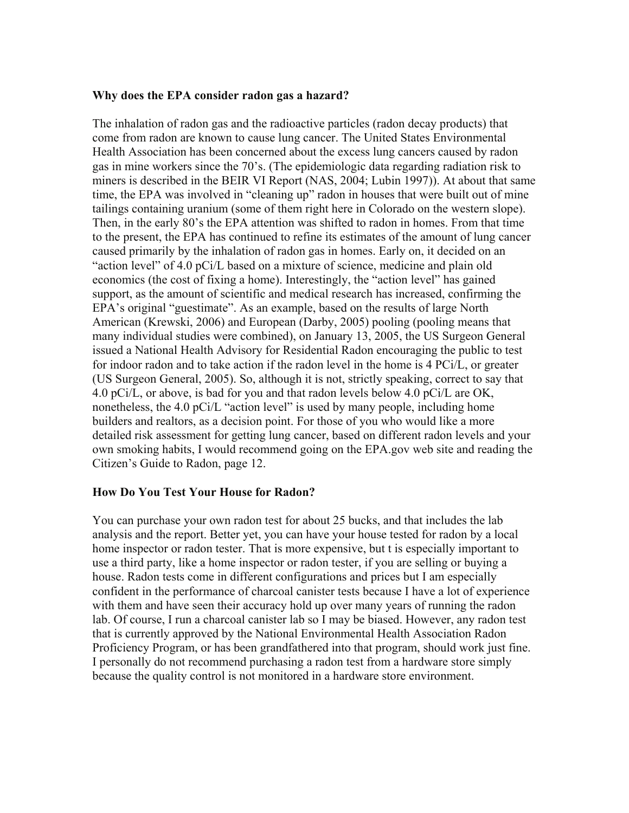#### **Why does the EPA consider radon gas a hazard?**

The inhalation of radon gas and the radioactive particles (radon decay products) that come from radon are known to cause lung cancer. The United States Environmental Health Association has been concerned about the excess lung cancers caused by radon gas in mine workers since the 70's. (The epidemiologic data regarding radiation risk to miners is described in the BEIR VI Report (NAS, 2004; Lubin 1997)). At about that same time, the EPA was involved in "cleaning up" radon in houses that were built out of mine tailings containing uranium (some of them right here in Colorado on the western slope). Then, in the early 80's the EPA attention was shifted to radon in homes. From that time to the present, the EPA has continued to refine its estimates of the amount of lung cancer caused primarily by the inhalation of radon gas in homes. Early on, it decided on an "action level" of 4.0 pCi/L based on a mixture of science, medicine and plain old economics (the cost of fixing a home). Interestingly, the "action level" has gained support, as the amount of scientific and medical research has increased, confirming the EPA's original "guestimate". As an example, based on the results of large North American (Krewski, 2006) and European (Darby, 2005) pooling (pooling means that many individual studies were combined), on January 13, 2005, the US Surgeon General issued a National Health Advisory for Residential Radon encouraging the public to test for indoor radon and to take action if the radon level in the home is 4 PCi/L, or greater (US Surgeon General, 2005). So, although it is not, strictly speaking, correct to say that 4.0 pCi/L, or above, is bad for you and that radon levels below 4.0 pCi/L are OK, nonetheless, the 4.0 pCi/L "action level" is used by many people, including home builders and realtors, as a decision point. For those of you who would like a more detailed risk assessment for getting lung cancer, based on different radon levels and your own smoking habits, I would recommend going on the EPA.gov web site and reading the Citizen's Guide to Radon, page 12.

#### **How Do You Test Your House for Radon?**

You can purchase your own radon test for about 25 bucks, and that includes the lab analysis and the report. Better yet, you can have your house tested for radon by a local home inspector or radon tester. That is more expensive, but t is especially important to use a third party, like a home inspector or radon tester, if you are selling or buying a house. Radon tests come in different configurations and prices but I am especially confident in the performance of charcoal canister tests because I have a lot of experience with them and have seen their accuracy hold up over many years of running the radon lab. Of course, I run a charcoal canister lab so I may be biased. However, any radon test that is currently approved by the National Environmental Health Association Radon Proficiency Program, or has been grandfathered into that program, should work just fine. I personally do not recommend purchasing a radon test from a hardware store simply because the quality control is not monitored in a hardware store environment.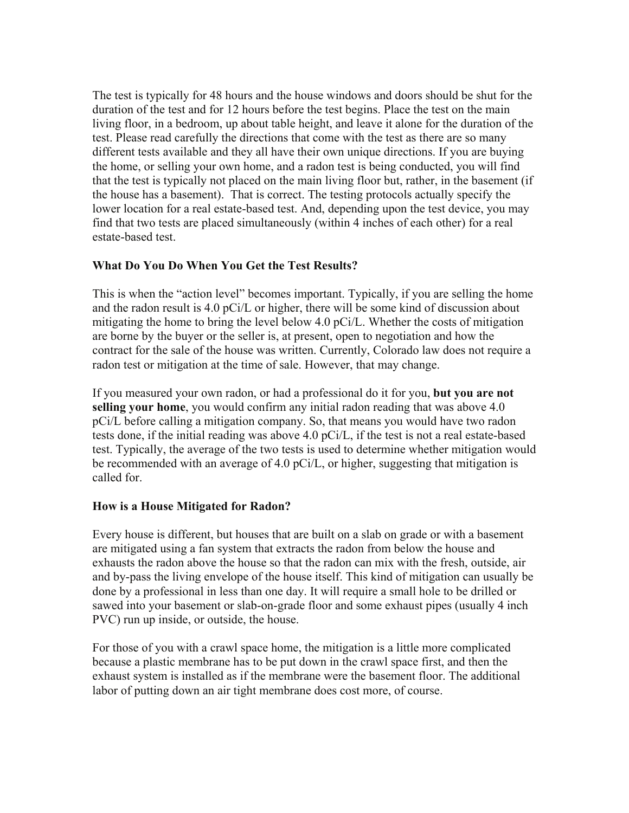The test is typically for 48 hours and the house windows and doors should be shut for the duration of the test and for 12 hours before the test begins. Place the test on the main living floor, in a bedroom, up about table height, and leave it alone for the duration of the test. Please read carefully the directions that come with the test as there are so many different tests available and they all have their own unique directions. If you are buying the home, or selling your own home, and a radon test is being conducted, you will find that the test is typically not placed on the main living floor but, rather, in the basement (if the house has a basement). That is correct. The testing protocols actually specify the lower location for a real estate-based test. And, depending upon the test device, you may find that two tests are placed simultaneously (within 4 inches of each other) for a real estate-based test.

# **What Do You Do When You Get the Test Results?**

This is when the "action level" becomes important. Typically, if you are selling the home and the radon result is 4.0 pCi/L or higher, there will be some kind of discussion about mitigating the home to bring the level below 4.0 pCi/L. Whether the costs of mitigation are borne by the buyer or the seller is, at present, open to negotiation and how the contract for the sale of the house was written. Currently, Colorado law does not require a radon test or mitigation at the time of sale. However, that may change.

If you measured your own radon, or had a professional do it for you, **but you are not selling your home**, you would confirm any initial radon reading that was above 4.0 pCi/L before calling a mitigation company. So, that means you would have two radon tests done, if the initial reading was above 4.0 pCi/L, if the test is not a real estate-based test. Typically, the average of the two tests is used to determine whether mitigation would be recommended with an average of 4.0 pCi/L, or higher, suggesting that mitigation is called for.

## **How is a House Mitigated for Radon?**

Every house is different, but houses that are built on a slab on grade or with a basement are mitigated using a fan system that extracts the radon from below the house and exhausts the radon above the house so that the radon can mix with the fresh, outside, air and by-pass the living envelope of the house itself. This kind of mitigation can usually be done by a professional in less than one day. It will require a small hole to be drilled or sawed into your basement or slab-on-grade floor and some exhaust pipes (usually 4 inch PVC) run up inside, or outside, the house.

For those of you with a crawl space home, the mitigation is a little more complicated because a plastic membrane has to be put down in the crawl space first, and then the exhaust system is installed as if the membrane were the basement floor. The additional labor of putting down an air tight membrane does cost more, of course.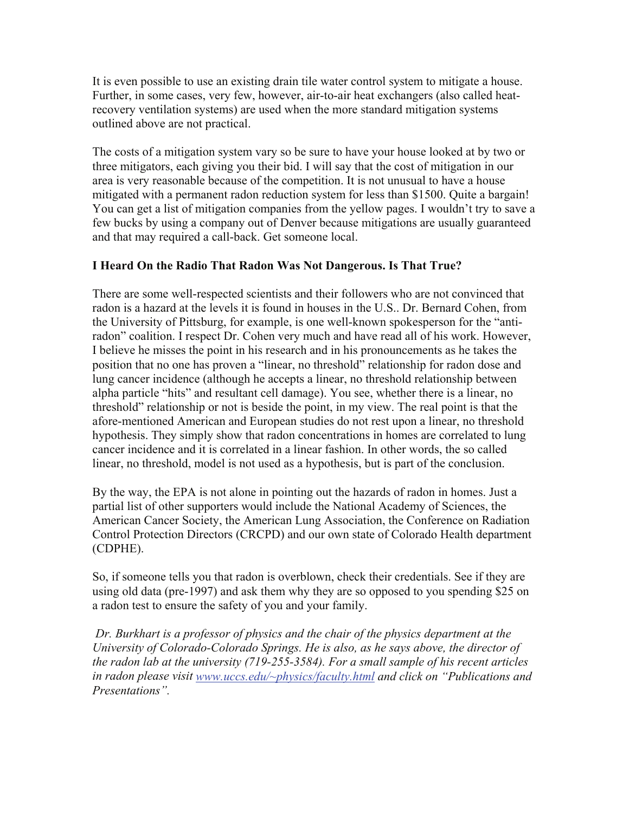It is even possible to use an existing drain tile water control system to mitigate a house. Further, in some cases, very few, however, air-to-air heat exchangers (also called heatrecovery ventilation systems) are used when the more standard mitigation systems outlined above are not practical.

The costs of a mitigation system vary so be sure to have your house looked at by two or three mitigators, each giving you their bid. I will say that the cost of mitigation in our area is very reasonable because of the competition. It is not unusual to have a house mitigated with a permanent radon reduction system for less than \$1500. Quite a bargain! You can get a list of mitigation companies from the yellow pages. I wouldn't try to save a few bucks by using a company out of Denver because mitigations are usually guaranteed and that may required a call-back. Get someone local.

# **I Heard On the Radio That Radon Was Not Dangerous. Is That True?**

There are some well-respected scientists and their followers who are not convinced that radon is a hazard at the levels it is found in houses in the U.S.. Dr. Bernard Cohen, from the University of Pittsburg, for example, is one well-known spokesperson for the "antiradon" coalition. I respect Dr. Cohen very much and have read all of his work. However, I believe he misses the point in his research and in his pronouncements as he takes the position that no one has proven a "linear, no threshold" relationship for radon dose and lung cancer incidence (although he accepts a linear, no threshold relationship between alpha particle "hits" and resultant cell damage). You see, whether there is a linear, no threshold" relationship or not is beside the point, in my view. The real point is that the afore-mentioned American and European studies do not rest upon a linear, no threshold hypothesis. They simply show that radon concentrations in homes are correlated to lung cancer incidence and it is correlated in a linear fashion. In other words, the so called linear, no threshold, model is not used as a hypothesis, but is part of the conclusion.

By the way, the EPA is not alone in pointing out the hazards of radon in homes. Just a partial list of other supporters would include the National Academy of Sciences, the American Cancer Society, the American Lung Association, the Conference on Radiation Control Protection Directors (CRCPD) and our own state of Colorado Health department (CDPHE).

So, if someone tells you that radon is overblown, check their credentials. See if they are using old data (pre-1997) and ask them why they are so opposed to you spending \$25 on a radon test to ensure the safety of you and your family.

 *Dr. Burkhart is a professor of physics and the chair of the physics department at the University of Colorado-Colorado Springs. He is also, as he says above, the director of the radon lab at the university (719-255-3584). For a small sample of his recent articles in radon please visit [www.uccs.edu/~physics/faculty.html](http://www.uccs.edu/%7Ephysics/faculty.html) and click on "Publications and Presentations".*